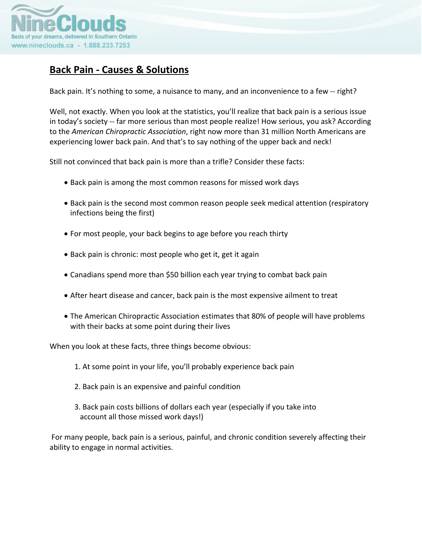

# **Back Pain ‐ Causes & Solutions**

Back pain. It's nothing to some, a nuisance to many, and an inconvenience to a few -- right?

Well, not exactly. When you look at the statistics, you'll realize that back pain is a serious issue in today's society ‐‐ far more serious than most people realize! How serious, you ask? According to the *American Chiropractic Association*, right now more than 31 million North Americans are experiencing lower back pain. And that's to say nothing of the upper back and neck!

Still not convinced that back pain is more than a trifle? Consider these facts:

- Back pain is among the most common reasons for missed work days
- Back pain is the second most common reason people seek medical attention (respiratory infections being the first)
- For most people, your back begins to age before you reach thirty
- Back pain is chronic: most people who get it, get it again
- Canadians spend more than \$50 billion each year trying to combat back pain
- After heart disease and cancer, back pain is the most expensive ailment to treat
- The American Chiropractic Association estimates that 80% of people will have problems with their backs at some point during their lives

When you look at these facts, three things become obvious:

- 1. At some point in your life, you'll probably experience back pain
- 2. Back pain is an expensive and painful condition
- 3. Back pain costs billions of dollars each year (especially if you take into account all those missed work days!)

For many people, back pain is a serious, painful, and chronic condition severely affecting their ability to engage in normal activities.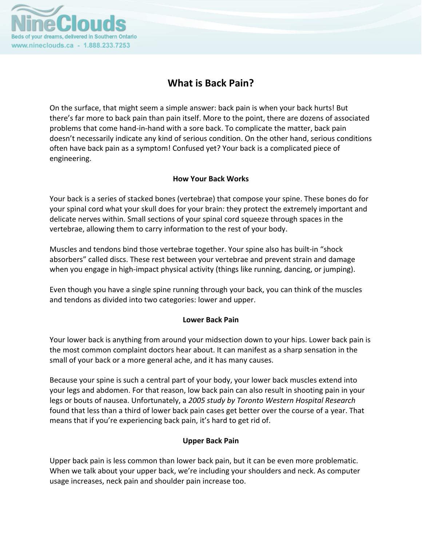

# **What is Back Pain?**

On the surface, that might seem a simple answer: back pain is when your back hurts! But there's far more to back pain than pain itself. More to the point, there are dozens of associated problems that come hand‐in‐hand with a sore back. To complicate the matter, back pain doesn't necessarily indicate any kind of serious condition. On the other hand, serious conditions often have back pain as a symptom! Confused yet? Your back is a complicated piece of engineering.

# **How Your Back Works**

Your back is a series of stacked bones (vertebrae) that compose your spine. These bones do for your spinal cord what your skull does for your brain: they protect the extremely important and delicate nerves within. Small sections of your spinal cord squeeze through spaces in the vertebrae, allowing them to carry information to the rest of your body.

Muscles and tendons bind those vertebrae together. Your spine also has built‐in "shock absorbers" called discs. These rest between your vertebrae and prevent strain and damage when you engage in high-impact physical activity (things like running, dancing, or jumping).

Even though you have a single spine running through your back, you can think of the muscles and tendons as divided into two categories: lower and upper.

# **Lower Back Pain**

Your lower back is anything from around your midsection down to your hips. Lower back pain is the most common complaint doctors hear about. It can manifest as a sharp sensation in the small of your back or a more general ache, and it has many causes.

Because your spine is such a central part of your body, your lower back muscles extend into your legs and abdomen. For that reason, low back pain can also result in shooting pain in your legs or bouts of nausea. Unfortunately, a *2005 study by Toronto Western Hospital Research* found that less than a third of lower back pain cases get better over the course of a year. That means that if you're experiencing back pain, it's hard to get rid of.

# **Upper Back Pain**

Upper back pain is less common than lower back pain, but it can be even more problematic. When we talk about your upper back, we're including your shoulders and neck. As computer usage increases, neck pain and shoulder pain increase too.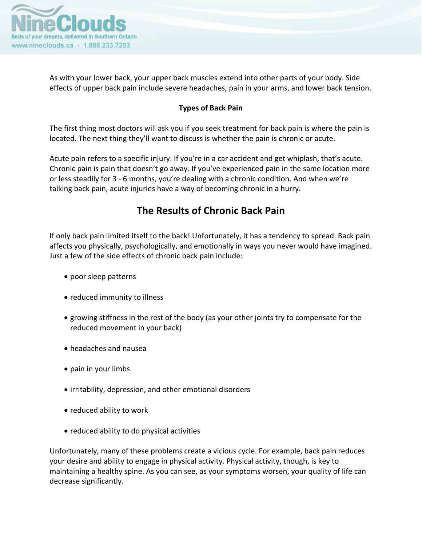

As with your lower back, your upper back muscles extend into other parts of your body. Side effects of upper back pain include severe headaches, pain in your arms, and lower back tension.

# **Types of Back Pain**

The first thing most doctors will ask you if you seek treatment for back pain is where the pain is located. The next thing they'll want to discuss is whether the pain is chronic or acute.

Acute pain refers to a specific injury. If you're in a car accident and get whiplash, that's acute. Chronic pain is pain that doesn't go away. If you've experienced pain in the same location more or less steadily for 3 ‐ 6 months, you're dealing with a chronic condition. And when we're talking back pain, acute injuries have a way of becoming chronic in a hurry.

# **The Results of Chronic Back Pain**

If only back pain limited itself to the back! Unfortunately, it has a tendency to spread. Back pain affects you physically, psychologically, and emotionally in ways you never would have imagined. Just a few of the side effects of chronic back pain include:

- poor sleep patterns
- reduced immunity to illness
- growing stiffness in the rest of the body (as your other joints try to compensate for the reduced movement in your back)
- headaches and nausea
- pain in your limbs
- irritability, depression, and other emotional disorders
- reduced ability to work
- reduced ability to do physical activities

Unfortunately, many of these problems create a vicious cycle. For example, back pain reduces your desire and ability to engage in physical activity. Physical activity, though, is key to maintaining a healthy spine. As you can see, as your symptoms worsen, your quality of life can decrease significantly.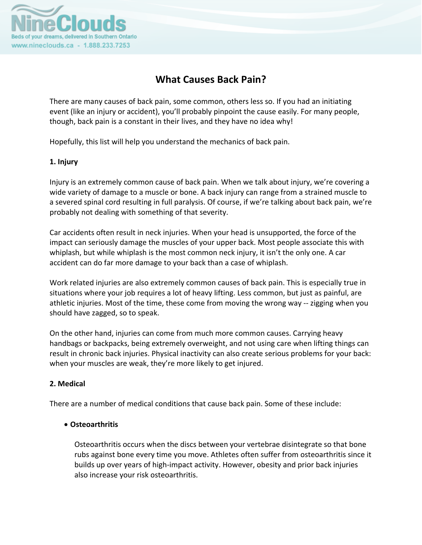

# **What Causes Back Pain?**

There are many causes of back pain, some common, others less so. If you had an initiating event (like an injury or accident), you'll probably pinpoint the cause easily. For many people, though, back pain is a constant in their lives, and they have no idea why!

Hopefully, this list will help you understand the mechanics of back pain.

## **1. Injury**

Injury is an extremely common cause of back pain. When we talk about injury, we're covering a wide variety of damage to a muscle or bone. A back injury can range from a strained muscle to a severed spinal cord resulting in full paralysis. Of course, if we're talking about back pain, we're probably not dealing with something of that severity.

Car accidents often result in neck injuries. When your head is unsupported, the force of the impact can seriously damage the muscles of your upper back. Most people associate this with whiplash, but while whiplash is the most common neck injury, it isn't the only one. A car accident can do far more damage to your back than a case of whiplash.

Work related injuries are also extremely common causes of back pain. This is especially true in situations where your job requires a lot of heavy lifting. Less common, but just as painful, are athletic injuries. Most of the time, these come from moving the wrong way -- zigging when you should have zagged, so to speak.

On the other hand, injuries can come from much more common causes. Carrying heavy handbags or backpacks, being extremely overweight, and not using care when lifting things can result in chronic back injuries. Physical inactivity can also create serious problems for your back: when your muscles are weak, they're more likely to get injured.

# **2. Medical**

There are a number of medical conditions that cause back pain. Some of these include:

# • **Osteoarthritis**

Osteoarthritis occurs when the discs between your vertebrae disintegrate so that bone rubs against bone every time you move. Athletes often suffer from osteoarthritis since it builds up over years of high‐impact activity. However, obesity and prior back injuries also increase your risk osteoarthritis.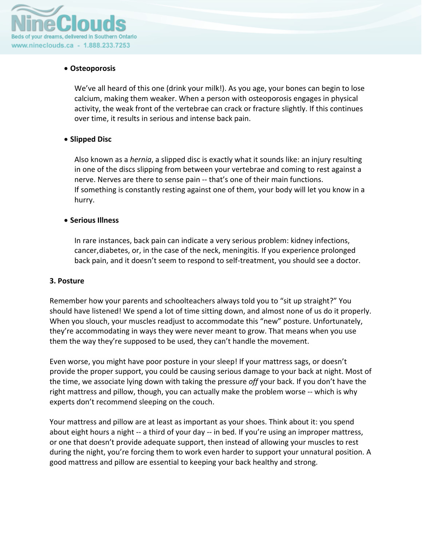

## • **Osteoporosis**

We've all heard of this one (drink your milk!). As you age, your bones can begin to lose calcium, making them weaker. When a person with osteoporosis engages in physical activity, the weak front of the vertebrae can crack or fracture slightly. If this continues over time, it results in serious and intense back pain.

## • **Slipped Disc**

Also known as a *hernia*, a slipped disc is exactly what it sounds like: an injury resulting in one of the discs slipping from between your vertebrae and coming to rest against a nerve. Nerves are there to sense pain ‐‐ that's one of their main functions. If something is constantly resting against one of them, your body will let you know in a hurry.

### • **Serious Illness**

In rare instances, back pain can indicate a very serious problem: kidney infections, cancer,diabetes, or, in the case of the neck, meningitis. If you experience prolonged back pain, and it doesn't seem to respond to self‐treatment, you should see a doctor.

### **3. Posture**

Remember how your parents and schoolteachers always told you to "sit up straight?" You should have listened! We spend a lot of time sitting down, and almost none of us do it properly. When you slouch, your muscles readjust to accommodate this "new" posture. Unfortunately, they're accommodating in ways they were never meant to grow. That means when you use them the way they're supposed to be used, they can't handle the movement.

Even worse, you might have poor posture in your sleep! If your mattress sags, or doesn't provide the proper support, you could be causing serious damage to your back at night. Most of the time, we associate lying down with taking the pressure *off* your back. If you don't have the right mattress and pillow, though, you can actually make the problem worse ‐‐ which is why experts don't recommend sleeping on the couch.

Your mattress and pillow are at least as important as your shoes. Think about it: you spend about eight hours a night ‐‐ a third of your day ‐‐ in bed. If you're using an improper mattress, or one that doesn't provide adequate support, then instead of allowing your muscles to rest during the night, you're forcing them to work even harder to support your unnatural position. A good mattress and pillow are essential to keeping your back healthy and strong.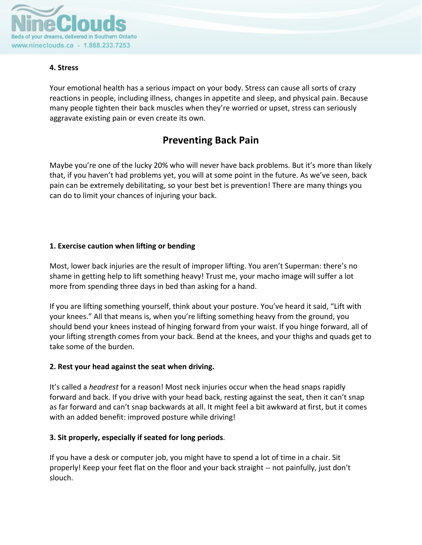

# **4. Stress**

Your emotional health has a serious impact on your body. Stress can cause all sorts of crazy reactions in people, including illness, changes in appetite and sleep, and physical pain. Because many people tighten their back muscles when they're worried or upset, stress can seriously aggravate existing pain or even create its own.

# **Preventing Back Pain**

Maybe you're one of the lucky 20% who will never have back problems. But it's more than likely that, if you haven't had problems yet, you will at some point in the future. As we've seen, back pain can be extremely debilitating, so your best bet is prevention! There are many things you can do to limit your chances of injuring your back.

# **1. Exercise caution when lifting or bending**

Most, lower back injuries are the result of improper lifting. You aren't Superman: there's no shame in getting help to lift something heavy! Trust me, your macho image will suffer a lot more from spending three days in bed than asking for a hand.

If you are lifting something yourself, think about your posture. You've heard it said, "Lift with your knees." All that means is, when you're lifting something heavy from the ground, you should bend your knees instead of hinging forward from your waist. If you hinge forward, all of your lifting strength comes from your back. Bend at the knees, and your thighs and quads get to take some of the burden.

# **2. Rest your head against the seat when driving.**

It's called a *headrest* for a reason! Most neck injuries occur when the head snaps rapidly forward and back. If you drive with your head back, resting against the seat, then it can't snap as far forward and can't snap backwards at all. It might feel a bit awkward at first, but it comes with an added benefit: improved posture while driving!

# **3. Sit properly, especially if seated for long periods**.

If you have a desk or computer job, you might have to spend a lot of time in a chair. Sit properly! Keep your feet flat on the floor and your back straight ‐‐ not painfully, just don't slouch.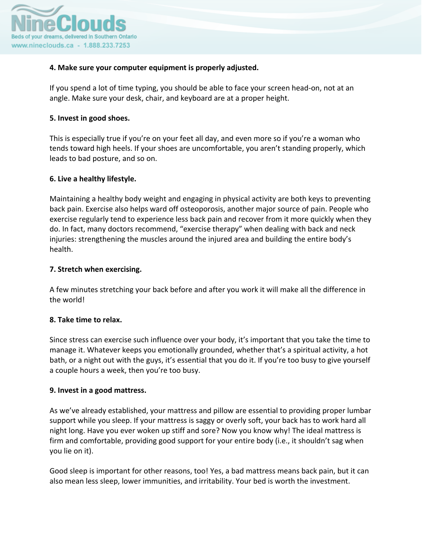

## **4. Make sure your computer equipment is properly adjusted.**

If you spend a lot of time typing, you should be able to face your screen head‐on, not at an angle. Make sure your desk, chair, and keyboard are at a proper height.

### **5. Invest in good shoes.**

This is especially true if you're on your feet all day, and even more so if you're a woman who tends toward high heels. If your shoes are uncomfortable, you aren't standing properly, which leads to bad posture, and so on.

## **6. Live a healthy lifestyle.**

Maintaining a healthy body weight and engaging in physical activity are both keys to preventing back pain. Exercise also helps ward off osteoporosis, another major source of pain. People who exercise regularly tend to experience less back pain and recover from it more quickly when they do. In fact, many doctors recommend, "exercise therapy" when dealing with back and neck injuries: strengthening the muscles around the injured area and building the entire body's health.

### **7. Stretch when exercising.**

A few minutes stretching your back before and after you work it will make all the difference in the world!

### **8. Take time to relax.**

Since stress can exercise such influence over your body, it's important that you take the time to manage it. Whatever keeps you emotionally grounded, whether that's a spiritual activity, a hot bath, or a night out with the guys, it's essential that you do it. If you're too busy to give yourself a couple hours a week, then you're too busy.

### **9. Invest in a good mattress.**

As we've already established, your mattress and pillow are essential to providing proper lumbar support while you sleep. If your mattress is saggy or overly soft, your back has to work hard all night long. Have you ever woken up stiff and sore? Now you know why! The ideal mattress is firm and comfortable, providing good support for your entire body (i.e., it shouldn't sag when you lie on it).

Good sleep is important for other reasons, too! Yes, a bad mattress means back pain, but it can also mean less sleep, lower immunities, and irritability. Your bed is worth the investment.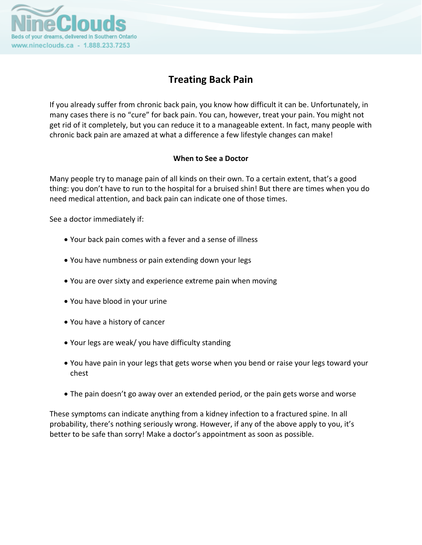

# **Treating Back Pain**

If you already suffer from chronic back pain, you know how difficult it can be. Unfortunately, in many cases there is no "cure" for back pain. You can, however, treat your pain. You might not get rid of it completely, but you can reduce it to a manageable extent. In fact, many people with chronic back pain are amazed at what a difference a few lifestyle changes can make!

# **When to See a Doctor**

Many people try to manage pain of all kinds on their own. To a certain extent, that's a good thing: you don't have to run to the hospital for a bruised shin! But there are times when you do need medical attention, and back pain can indicate one of those times.

See a doctor immediately if:

- Your back pain comes with a fever and a sense of illness
- You have numbness or pain extending down your legs
- You are over sixty and experience extreme pain when moving
- You have blood in your urine
- You have a history of cancer
- Your legs are weak/ you have difficulty standing
- You have pain in your legs that gets worse when you bend or raise your legs toward your chest
- The pain doesn't go away over an extended period, or the pain gets worse and worse

These symptoms can indicate anything from a kidney infection to a fractured spine. In all probability, there's nothing seriously wrong. However, if any of the above apply to you, it's better to be safe than sorry! Make a doctor's appointment as soon as possible.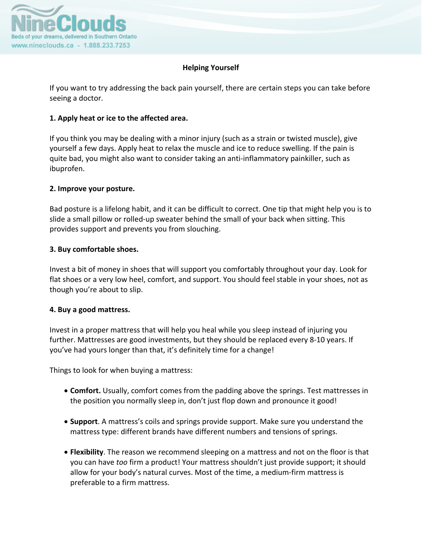

## **Helping Yourself**

If you want to try addressing the back pain yourself, there are certain steps you can take before seeing a doctor.

## **1. Apply heat or ice to the affected area.**

If you think you may be dealing with a minor injury (such as a strain or twisted muscle), give yourself a few days. Apply heat to relax the muscle and ice to reduce swelling. If the pain is quite bad, you might also want to consider taking an anti‐inflammatory painkiller, such as ibuprofen.

### **2. Improve your posture.**

Bad posture is a lifelong habit, and it can be difficult to correct. One tip that might help you is to slide a small pillow or rolled‐up sweater behind the small of your back when sitting. This provides support and prevents you from slouching.

## **3. Buy comfortable shoes.**

Invest a bit of money in shoes that will support you comfortably throughout your day. Look for flat shoes or a very low heel, comfort, and support. You should feel stable in your shoes, not as though you're about to slip.

### **4. Buy a good mattress.**

Invest in a proper mattress that will help you heal while you sleep instead of injuring you further. Mattresses are good investments, but they should be replaced every 8‐10 years. If you've had yours longer than that, it's definitely time for a change!

Things to look for when buying a mattress:

- **Comfort.** Usually, comfort comes from the padding above the springs. Test mattresses in the position you normally sleep in, don't just flop down and pronounce it good!
- **Support**. A mattress's coils and springs provide support. Make sure you understand the mattress type: different brands have different numbers and tensions of springs.
- **Flexibility**. The reason we recommend sleeping on a mattress and not on the floor is that you can have *too* firm a product! Your mattress shouldn't just provide support; it should allow for your body's natural curves. Most of the time, a medium‐firm mattress is preferable to a firm mattress.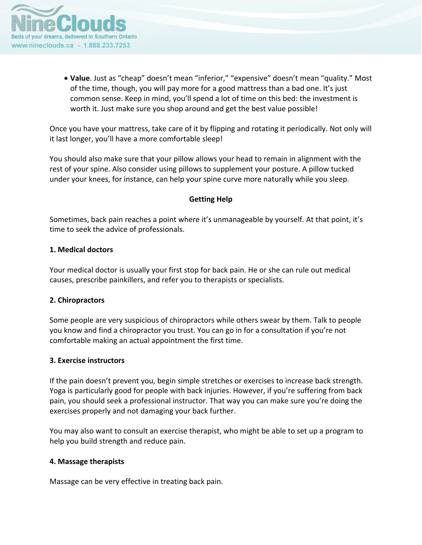

• **Value**. Just as "cheap" doesn't mean "inferior," "expensive" doesn't mean "quality." Most of the time, though, you will pay more for a good mattress than a bad one. It's just common sense. Keep in mind, you'll spend a lot of time on this bed: the investment is worth it. Just make sure you shop around and get the best value possible!

Once you have your mattress, take care of it by flipping and rotating it periodically. Not only will it last longer, you'll have a more comfortable sleep!

You should also make sure that your pillow allows your head to remain in alignment with the rest of your spine. Also consider using pillows to supplement your posture. A pillow tucked under your knees, for instance, can help your spine curve more naturally while you sleep.

### **Getting Help**

Sometimes, back pain reaches a point where it's unmanageable by yourself. At that point, it's time to seek the advice of professionals.

#### **1. Medical doctors**

Your medical doctor is usually your first stop for back pain. He or she can rule out medical causes, prescribe painkillers, and refer you to therapists or specialists.

### **2. Chiropractors**

Some people are very suspicious of chiropractors while others swear by them. Talk to people you know and find a chiropractor you trust. You can go in for a consultation if you're not comfortable making an actual appointment the first time.

### **3. Exercise instructors**

If the pain doesn't prevent you, begin simple stretches or exercises to increase back strength. Yoga is particularly good for people with back injuries. However, if you're suffering from back pain, you should seek a professional instructor. That way you can make sure you're doing the exercises properly and not damaging your back further.

You may also want to consult an exercise therapist, who might be able to set up a program to help you build strength and reduce pain.

### **4. Massage therapists**

Massage can be very effective in treating back pain.